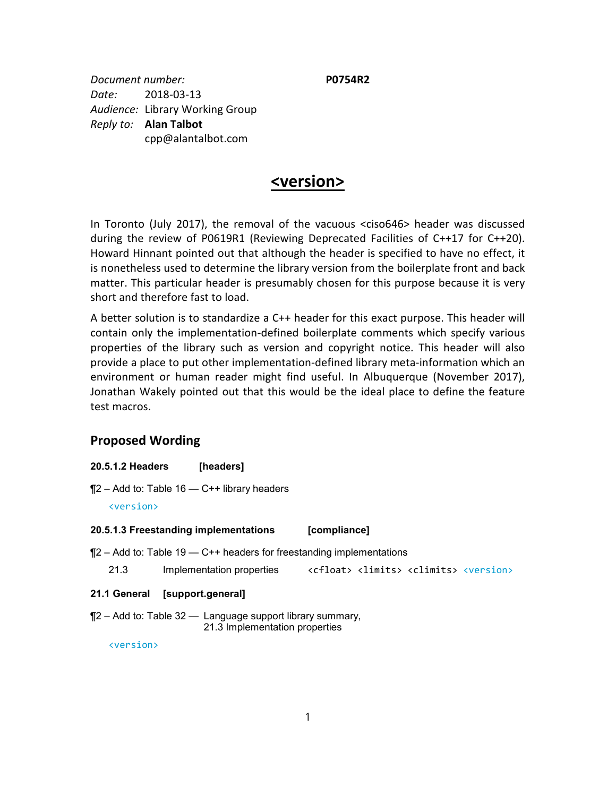*Document number:* **P0754R2** *Date:* 2018-03-13 *Audience:* Library Working Group *Reply to:* **Alan Talbot** cpp@alantalbot.com

# **<version>**

In Toronto (July 2017), the removal of the vacuous <ciso646> header was discussed during the review of P0619R1 (Reviewing Deprecated Facilities of C++17 for C++20). Howard Hinnant pointed out that although the header is specified to have no effect, it is nonetheless used to determine the library version from the boilerplate front and back matter. This particular header is presumably chosen for this purpose because it is very short and therefore fast to load.

A better solution is to standardize a C++ header for this exact purpose. This header will contain only the implementation-defined boilerplate comments which specify various properties of the library such as version and copyright notice. This header will also provide a place to put other implementation-defined library meta-information which an environment or human reader might find useful. In Albuquerque (November 2017), Jonathan Wakely pointed out that this would be the ideal place to define the feature test macros.

## **Proposed Wording**

- **20.5.1.2 Headers [headers]**
- $\P$ 2 Add to: Table 16 C++ library headers

<version>

#### **20.5.1.3 Freestanding implementations [compliance]**

¶2 – Add to: Table 19 — C++ headers for freestanding implementations

| 21.3 | Implementation properties |  |  | <cfloat> <limits> <climits> <version></version></climits></limits></cfloat> |  |
|------|---------------------------|--|--|-----------------------------------------------------------------------------|--|
|------|---------------------------|--|--|-----------------------------------------------------------------------------|--|

#### **21.1 General [support.general]**

 $\P$ 2 – Add to: Table 32 — Language support library summary, 21.3 Implementation properties

<version>